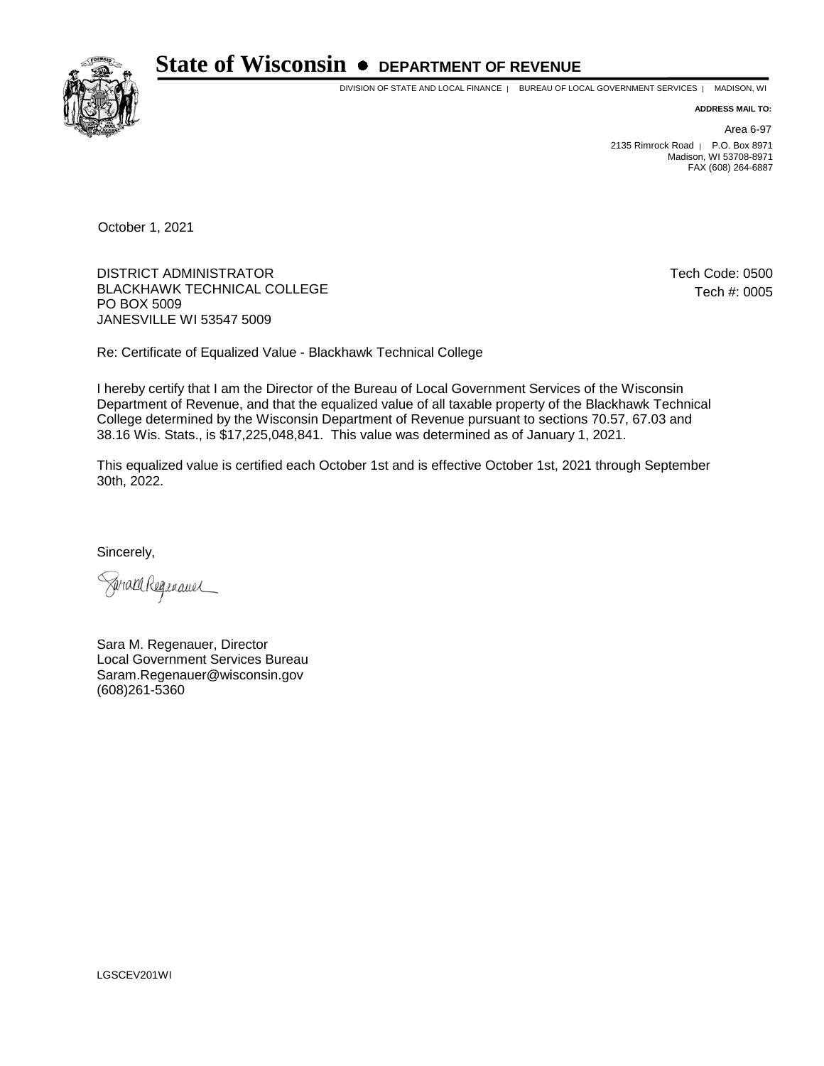

DIVISION OF STATE AND LOCAL FINANCE | BUREAU OF LOCAL GOVERNMENT SERVICES | MADISON, WI

**ADDRESS MAIL TO:**

Area 6-97

2135 Rimrock Road | P.O. Box 8971 Madison, WI 53708-8971 FAX (608) 264-6887

October 1, 2021

DISTRICT ADMINISTRATOR BLACKHAWK TECHNICAL COLLEGE PO BOX 5009 JANESVILLE WI 53547 5009

Tech Code: 0500 Tech #: 0005

Re: Certificate of Equalized Value - Blackhawk Technical College

I hereby certify that I am the Director of the Bureau of Local Government Services of the Wisconsin Department of Revenue, and that the equalized value of all taxable property of the Blackhawk Technical College determined by the Wisconsin Department of Revenue pursuant to sections 70.57, 67.03 and 38.16 Wis. Stats., is \$17,225,048,841. This value was determined as of January 1, 2021.

This equalized value is certified each October 1st and is effective October 1st, 2021 through September 30th, 2022.

Serant Regenauer

Sara M. Regenauer, Director Local Government Services Bureau Saram.Regenauer@wisconsin.gov (608)261-5360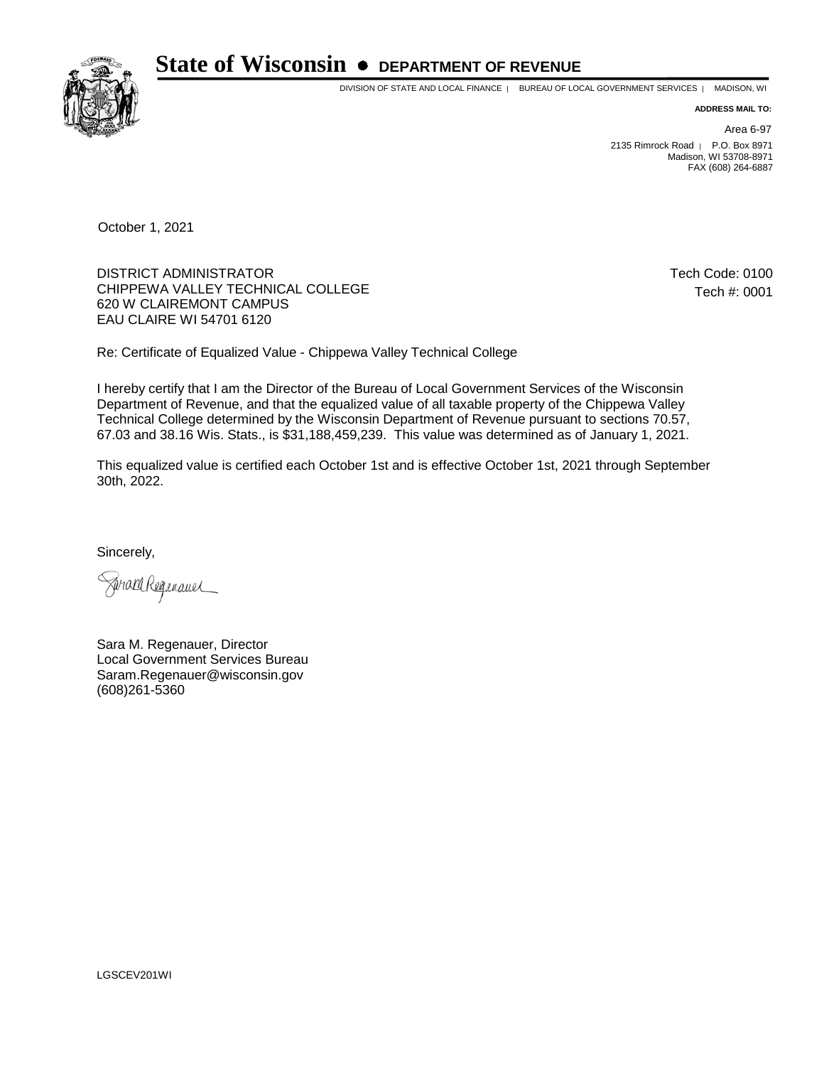

DIVISION OF STATE AND LOCAL FINANCE | BUREAU OF LOCAL GOVERNMENT SERVICES | MADISON, WI

**ADDRESS MAIL TO:**

Area 6-97

2135 Rimrock Road | P.O. Box 8971 Madison, WI 53708-8971 FAX (608) 264-6887

October 1, 2021

DISTRICT ADMINISTRATOR CHIPPEWA VALLEY TECHNICAL COLLEGE 620 W CLAIREMONT CAMPUS EAU CLAIRE WI 54701 6120

Tech Code: 0100 Tech #: 0001

Re: Certificate of Equalized Value - Chippewa Valley Technical College

I hereby certify that I am the Director of the Bureau of Local Government Services of the Wisconsin Department of Revenue, and that the equalized value of all taxable property of the Chippewa Valley Technical College determined by the Wisconsin Department of Revenue pursuant to sections 70.57, 67.03 and 38.16 Wis. Stats., is \$31,188,459,239. This value was determined as of January 1, 2021.

This equalized value is certified each October 1st and is effective October 1st, 2021 through September 30th, 2022.

Serant Regenauer

Sara M. Regenauer, Director Local Government Services Bureau Saram.Regenauer@wisconsin.gov (608)261-5360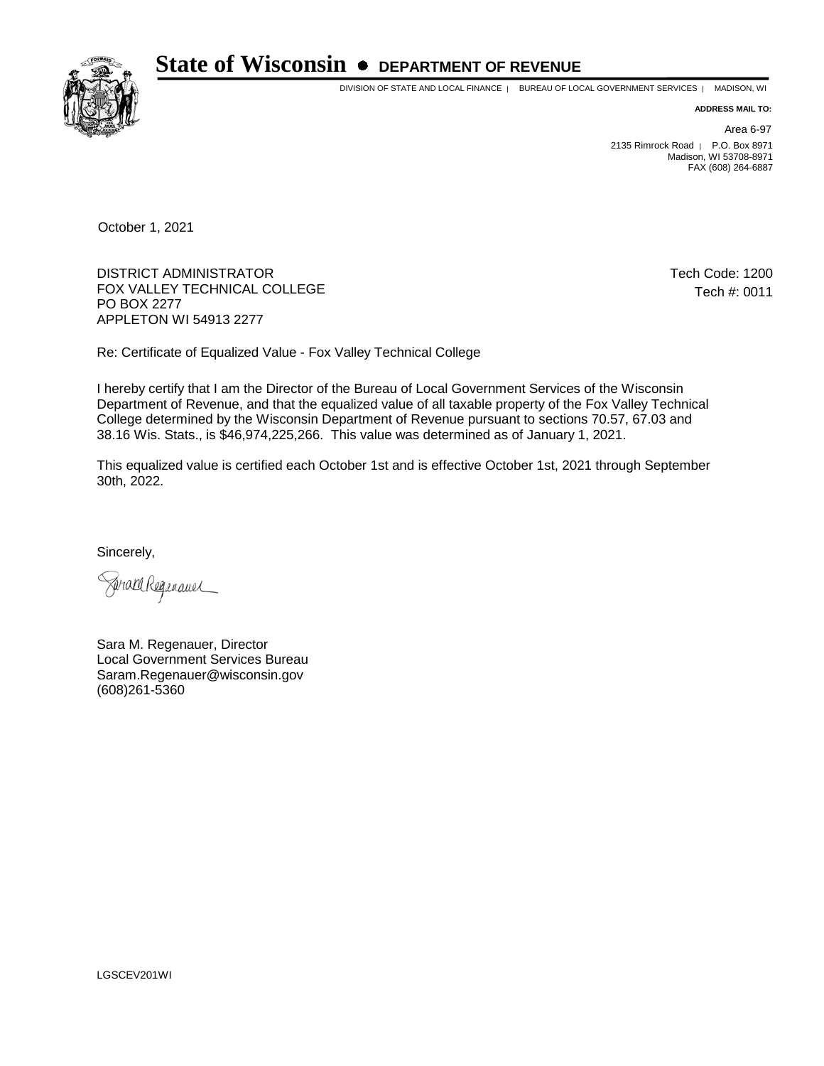

DIVISION OF STATE AND LOCAL FINANCE | BUREAU OF LOCAL GOVERNMENT SERVICES | MADISON, WI

**ADDRESS MAIL TO:**

Area 6-97

2135 Rimrock Road | P.O. Box 8971 Madison, WI 53708-8971 FAX (608) 264-6887

October 1, 2021

DISTRICT ADMINISTRATOR FOX VALLEY TECHNICAL COLLEGE PO BOX 2277 APPLETON WI 54913 2277

Tech Code: 1200 Tech #: 0011

Re: Certificate of Equalized Value - Fox Valley Technical College

I hereby certify that I am the Director of the Bureau of Local Government Services of the Wisconsin Department of Revenue, and that the equalized value of all taxable property of the Fox Valley Technical College determined by the Wisconsin Department of Revenue pursuant to sections 70.57, 67.03 and 38.16 Wis. Stats., is \$46,974,225,266. This value was determined as of January 1, 2021.

This equalized value is certified each October 1st and is effective October 1st, 2021 through September 30th, 2022.

Serant Regenauer

Sara M. Regenauer, Director Local Government Services Bureau Saram.Regenauer@wisconsin.gov (608)261-5360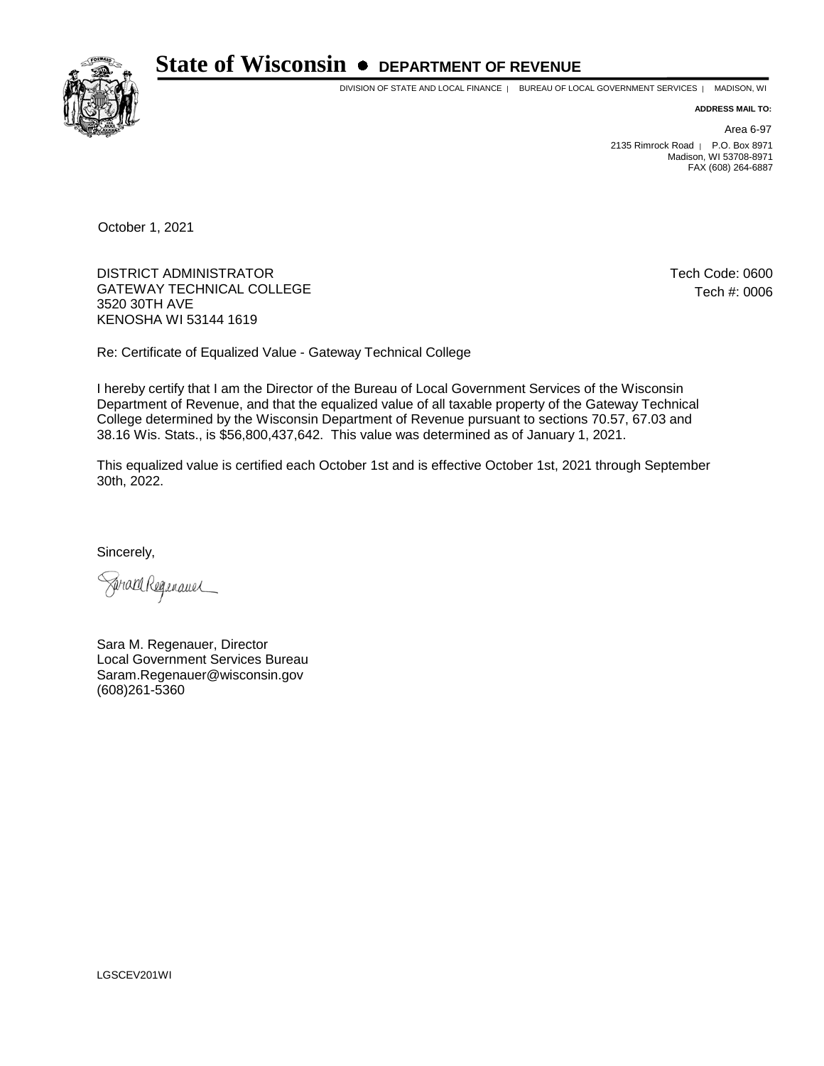

DIVISION OF STATE AND LOCAL FINANCE | BUREAU OF LOCAL GOVERNMENT SERVICES | MADISON, WI

**ADDRESS MAIL TO:**

Area 6-97

2135 Rimrock Road | P.O. Box 8971 Madison, WI 53708-8971 FAX (608) 264-6887

October 1, 2021

DISTRICT ADMINISTRATOR GATEWAY TECHNICAL COLLEGE 3520 30TH AVE KENOSHA WI 53144 1619

Tech Code: 0600 Tech #: 0006

Re: Certificate of Equalized Value - Gateway Technical College

I hereby certify that I am the Director of the Bureau of Local Government Services of the Wisconsin Department of Revenue, and that the equalized value of all taxable property of the Gateway Technical College determined by the Wisconsin Department of Revenue pursuant to sections 70.57, 67.03 and 38.16 Wis. Stats., is \$56,800,437,642. This value was determined as of January 1, 2021.

This equalized value is certified each October 1st and is effective October 1st, 2021 through September 30th, 2022.

Serant Regenauer

Sara M. Regenauer, Director Local Government Services Bureau Saram.Regenauer@wisconsin.gov (608)261-5360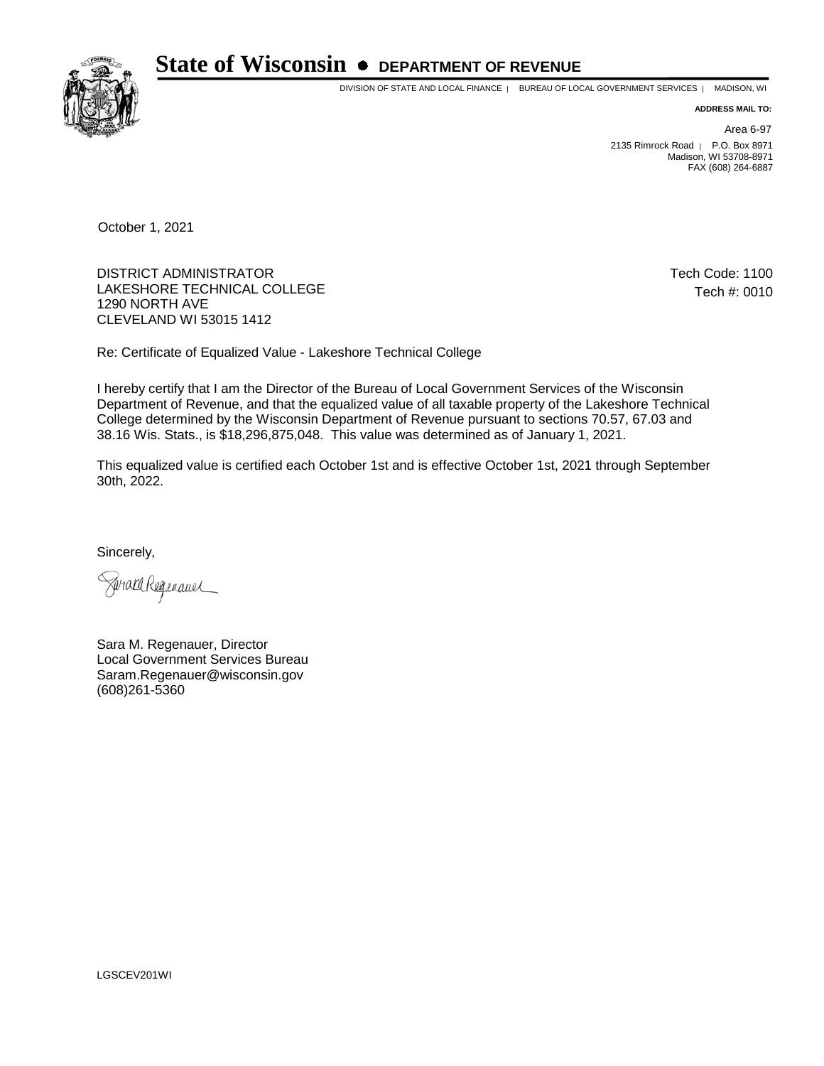

DIVISION OF STATE AND LOCAL FINANCE | BUREAU OF LOCAL GOVERNMENT SERVICES | MADISON, WI

**ADDRESS MAIL TO:**

Area 6-97

2135 Rimrock Road | P.O. Box 8971 Madison, WI 53708-8971 FAX (608) 264-6887

October 1, 2021

DISTRICT ADMINISTRATOR LAKESHORE TECHNICAL COLLEGE 1290 NORTH AVE CLEVELAND WI 53015 1412

Tech Code: 1100 Tech #: 0010

Re: Certificate of Equalized Value - Lakeshore Technical College

I hereby certify that I am the Director of the Bureau of Local Government Services of the Wisconsin Department of Revenue, and that the equalized value of all taxable property of the Lakeshore Technical College determined by the Wisconsin Department of Revenue pursuant to sections 70.57, 67.03 and 38.16 Wis. Stats., is \$18,296,875,048. This value was determined as of January 1, 2021.

This equalized value is certified each October 1st and is effective October 1st, 2021 through September 30th, 2022.

Serant Regenauer

Sara M. Regenauer, Director Local Government Services Bureau Saram.Regenauer@wisconsin.gov (608)261-5360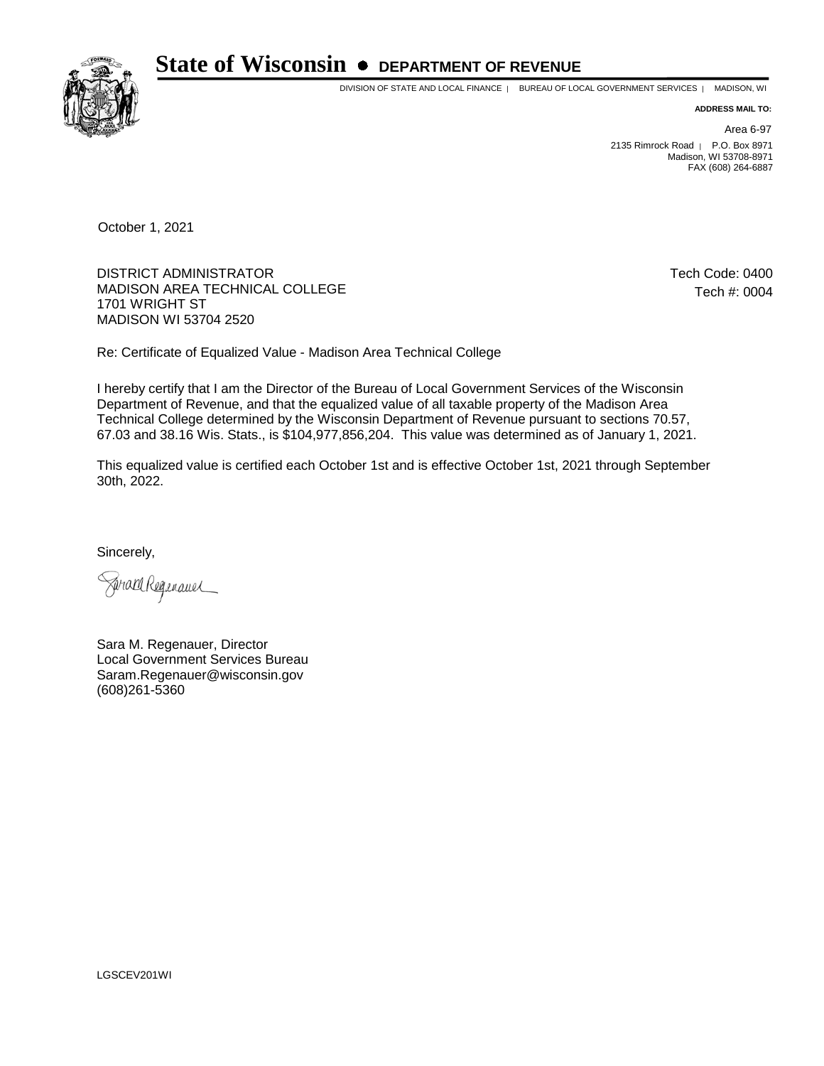

DIVISION OF STATE AND LOCAL FINANCE | BUREAU OF LOCAL GOVERNMENT SERVICES | MADISON, WI

**ADDRESS MAIL TO:**

Area 6-97

2135 Rimrock Road | P.O. Box 8971 Madison, WI 53708-8971 FAX (608) 264-6887

October 1, 2021

DISTRICT ADMINISTRATOR MADISON AREA TECHNICAL COLLEGE 1701 WRIGHT ST MADISON WI 53704 2520

Tech Code: 0400 Tech #: 0004

Re: Certificate of Equalized Value - Madison Area Technical College

I hereby certify that I am the Director of the Bureau of Local Government Services of the Wisconsin Department of Revenue, and that the equalized value of all taxable property of the Madison Area Technical College determined by the Wisconsin Department of Revenue pursuant to sections 70.57, 67.03 and 38.16 Wis. Stats., is \$104,977,856,204. This value was determined as of January 1, 2021.

This equalized value is certified each October 1st and is effective October 1st, 2021 through September 30th, 2022.

Serant Regenauer

Sara M. Regenauer, Director Local Government Services Bureau Saram.Regenauer@wisconsin.gov (608)261-5360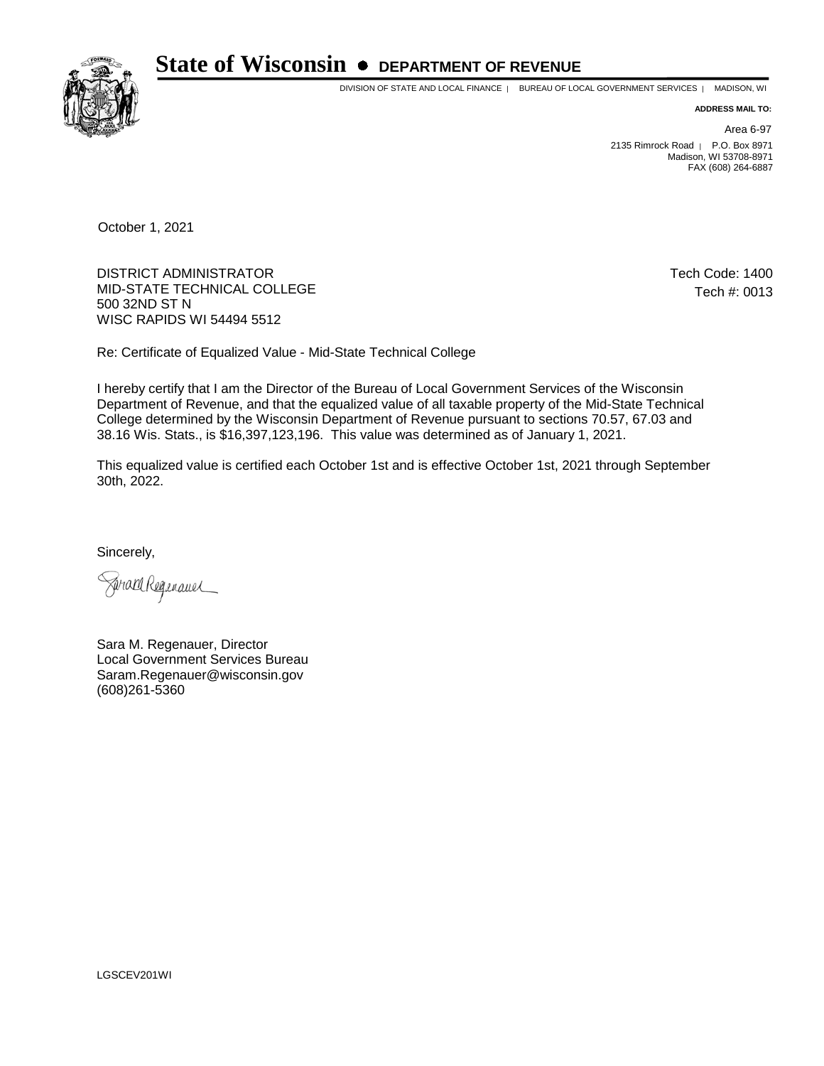

DIVISION OF STATE AND LOCAL FINANCE | BUREAU OF LOCAL GOVERNMENT SERVICES | MADISON, WI

**ADDRESS MAIL TO:**

Area 6-97

2135 Rimrock Road | P.O. Box 8971 Madison, WI 53708-8971 FAX (608) 264-6887

October 1, 2021

DISTRICT ADMINISTRATOR MID-STATE TECHNICAL COLLEGE 500 32ND ST N WISC RAPIDS WI 54494 5512

Tech Code: 1400 Tech #: 0013

Re: Certificate of Equalized Value - Mid-State Technical College

I hereby certify that I am the Director of the Bureau of Local Government Services of the Wisconsin Department of Revenue, and that the equalized value of all taxable property of the Mid-State Technical College determined by the Wisconsin Department of Revenue pursuant to sections 70.57, 67.03 and 38.16 Wis. Stats., is \$16,397,123,196. This value was determined as of January 1, 2021.

This equalized value is certified each October 1st and is effective October 1st, 2021 through September 30th, 2022.

Serant Regenauer

Sara M. Regenauer, Director Local Government Services Bureau Saram.Regenauer@wisconsin.gov (608)261-5360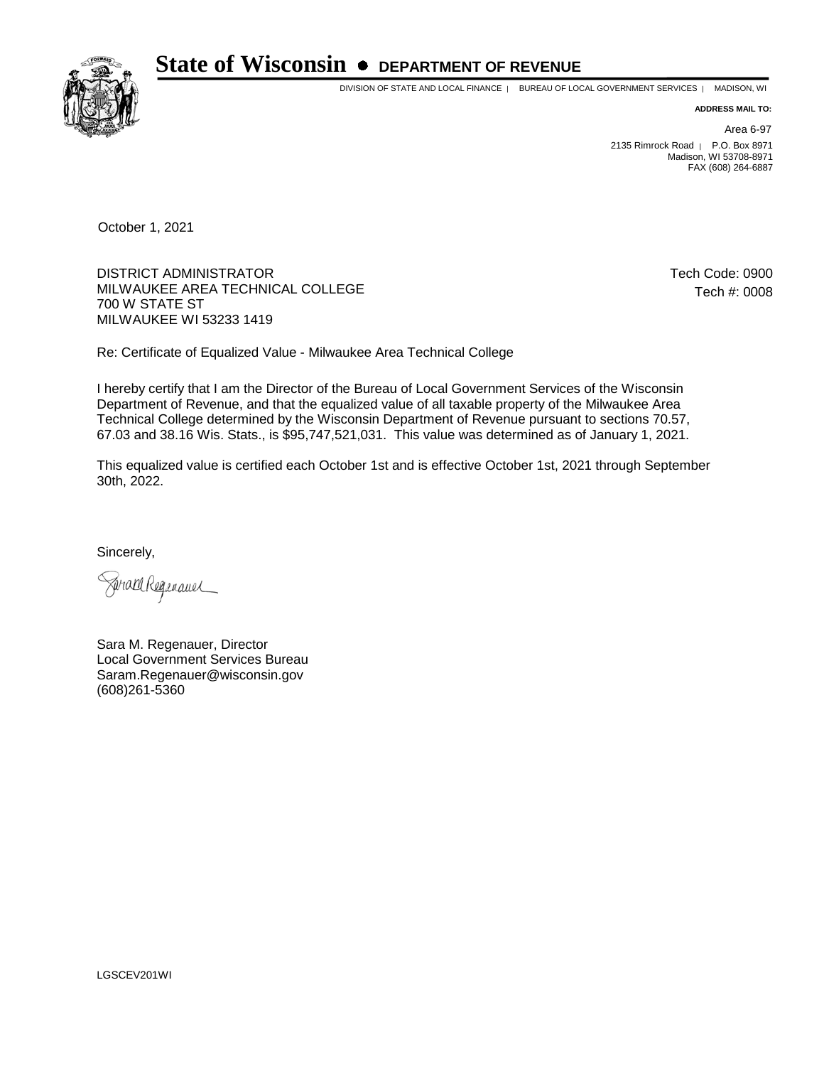

DIVISION OF STATE AND LOCAL FINANCE | BUREAU OF LOCAL GOVERNMENT SERVICES | MADISON, WI

**ADDRESS MAIL TO:**

Area 6-97

2135 Rimrock Road | P.O. Box 8971 Madison, WI 53708-8971 FAX (608) 264-6887

October 1, 2021

DISTRICT ADMINISTRATOR MILWAUKEE AREA TECHNICAL COLLEGE 700 W STATE ST MILWAUKEE WI 53233 1419

Tech Code: 0900 Tech #: 0008

Re: Certificate of Equalized Value - Milwaukee Area Technical College

I hereby certify that I am the Director of the Bureau of Local Government Services of the Wisconsin Department of Revenue, and that the equalized value of all taxable property of the Milwaukee Area Technical College determined by the Wisconsin Department of Revenue pursuant to sections 70.57, 67.03 and 38.16 Wis. Stats., is \$95,747,521,031. This value was determined as of January 1, 2021.

This equalized value is certified each October 1st and is effective October 1st, 2021 through September 30th, 2022.

Serant Regenauer

Sara M. Regenauer, Director Local Government Services Bureau Saram.Regenauer@wisconsin.gov (608)261-5360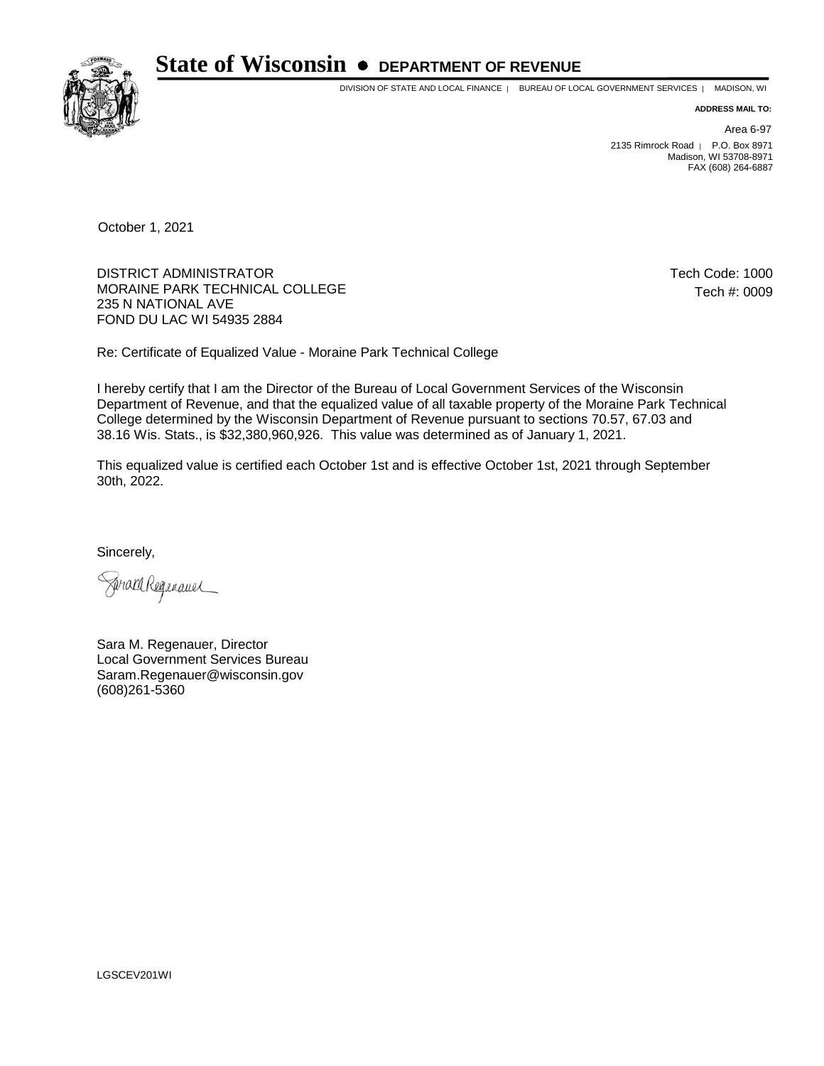

DIVISION OF STATE AND LOCAL FINANCE | BUREAU OF LOCAL GOVERNMENT SERVICES | MADISON, WI

**ADDRESS MAIL TO:**

Area 6-97

2135 Rimrock Road | P.O. Box 8971 Madison, WI 53708-8971 FAX (608) 264-6887

October 1, 2021

DISTRICT ADMINISTRATOR MORAINE PARK TECHNICAL COLLEGE 235 N NATIONAL AVE FOND DU LAC WI 54935 2884

Tech Code: 1000 Tech #: 0009

Re: Certificate of Equalized Value - Moraine Park Technical College

I hereby certify that I am the Director of the Bureau of Local Government Services of the Wisconsin Department of Revenue, and that the equalized value of all taxable property of the Moraine Park Technical College determined by the Wisconsin Department of Revenue pursuant to sections 70.57, 67.03 and 38.16 Wis. Stats., is \$32,380,960,926. This value was determined as of January 1, 2021.

This equalized value is certified each October 1st and is effective October 1st, 2021 through September 30th, 2022.

Serant Regenauer

Sara M. Regenauer, Director Local Government Services Bureau Saram.Regenauer@wisconsin.gov (608)261-5360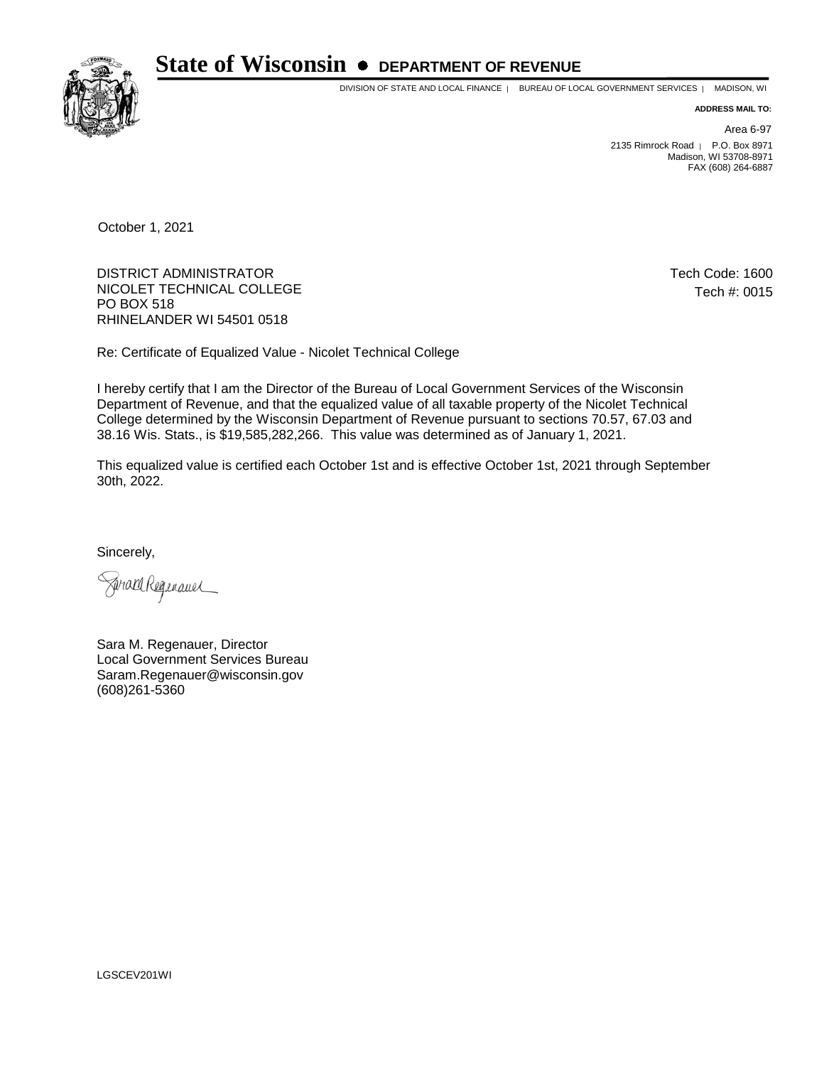

DIVISION OF STATE AND LOCAL FINANCE | BUREAU OF LOCAL GOVERNMENT SERVICES | MADISON, WI

**ADDRESS MAIL TO:**

Area 6-97

2135 Rimrock Road | P.O. Box 8971 Madison, WI 53708-8971 FAX (608) 264-6887

October 1, 2021

DISTRICT ADMINISTRATOR NICOLET TECHNICAL COLLEGE PO BOX 518 RHINELANDER WI 54501 0518

Tech Code: 1600 Tech #: 0015

Re: Certificate of Equalized Value - Nicolet Technical College

I hereby certify that I am the Director of the Bureau of Local Government Services of the Wisconsin Department of Revenue, and that the equalized value of all taxable property of the Nicolet Technical College determined by the Wisconsin Department of Revenue pursuant to sections 70.57, 67.03 and 38.16 Wis. Stats., is \$19,585,282,266. This value was determined as of January 1, 2021.

This equalized value is certified each October 1st and is effective October 1st, 2021 through September 30th, 2022.

Saram Regenauer

Sara M. Regenauer, Director Local Government Services Bureau Saram.Regenauer@wisconsin.gov (608)261-5360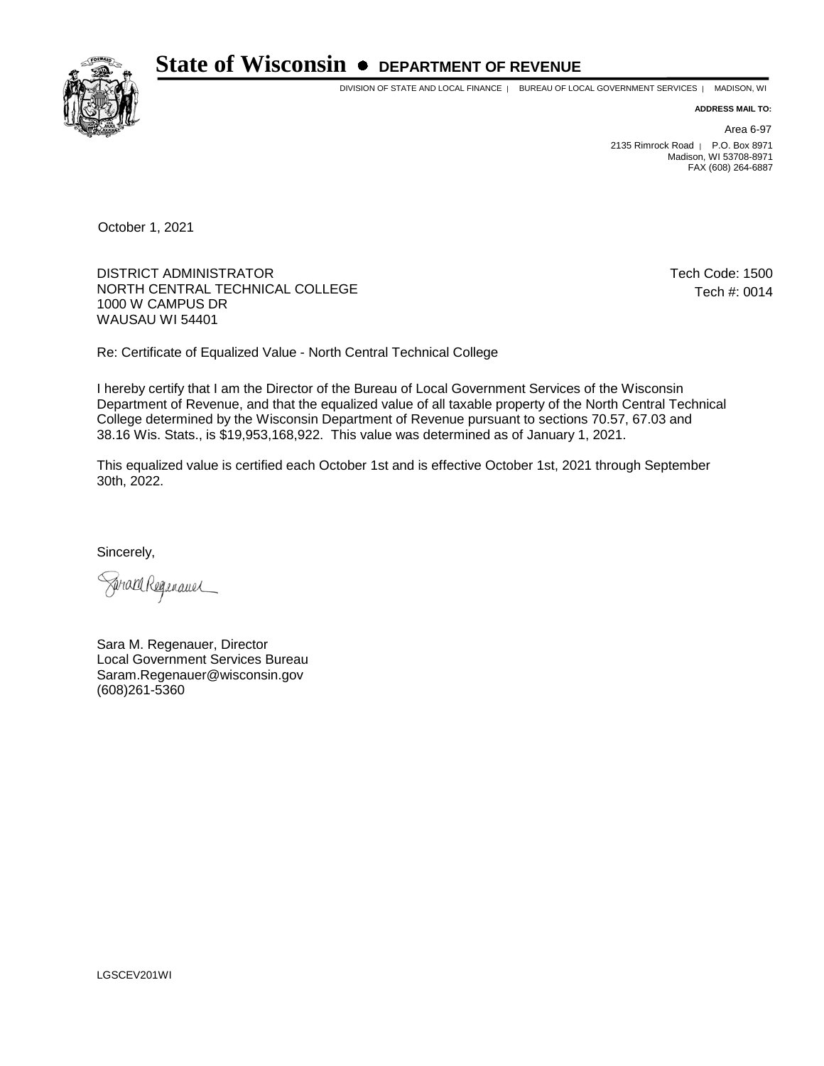

DIVISION OF STATE AND LOCAL FINANCE | BUREAU OF LOCAL GOVERNMENT SERVICES | MADISON, WI

**ADDRESS MAIL TO:**

Area 6-97

2135 Rimrock Road | P.O. Box 8971 Madison, WI 53708-8971 FAX (608) 264-6887

October 1, 2021

DISTRICT ADMINISTRATOR NORTH CENTRAL TECHNICAL COLLEGE 1000 W CAMPUS DR WAUSAU WI 54401

Tech Code: 1500 Tech #: 0014

Re: Certificate of Equalized Value - North Central Technical College

I hereby certify that I am the Director of the Bureau of Local Government Services of the Wisconsin Department of Revenue, and that the equalized value of all taxable property of the North Central Technical College determined by the Wisconsin Department of Revenue pursuant to sections 70.57, 67.03 and 38.16 Wis. Stats., is \$19,953,168,922. This value was determined as of January 1, 2021.

This equalized value is certified each October 1st and is effective October 1st, 2021 through September 30th, 2022.

Serant Regenauer

Sara M. Regenauer, Director Local Government Services Bureau Saram.Regenauer@wisconsin.gov (608)261-5360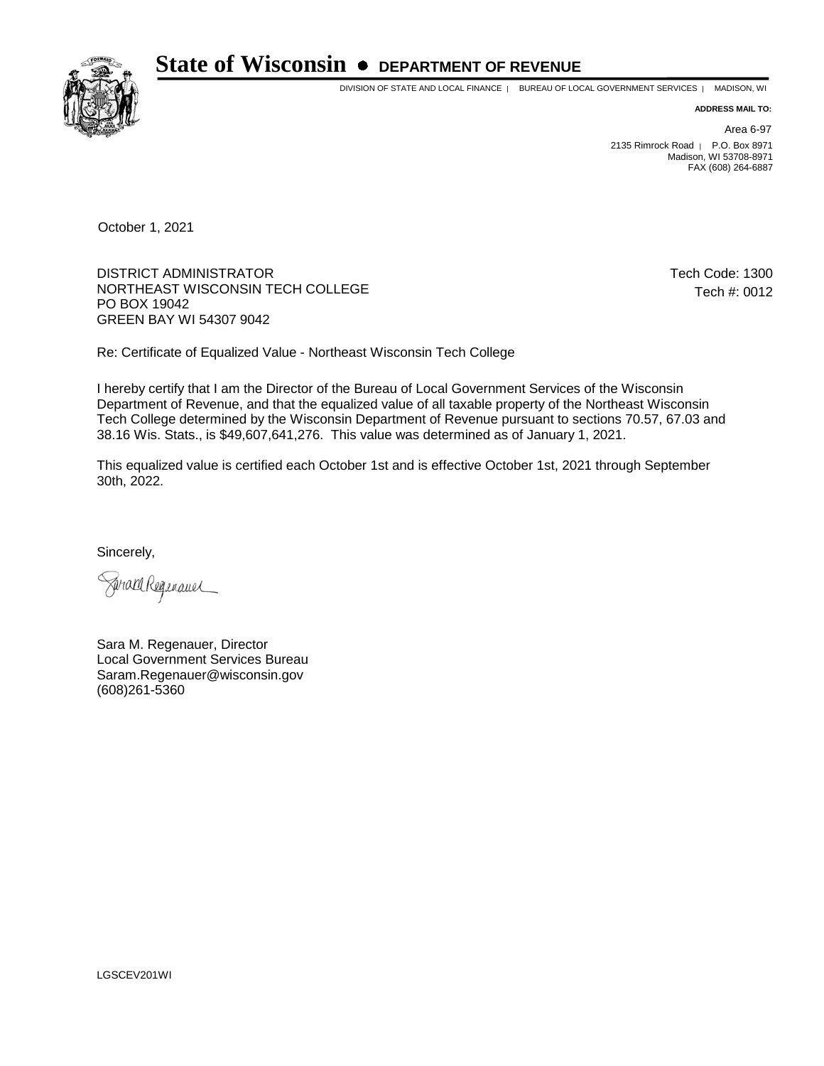

DIVISION OF STATE AND LOCAL FINANCE | BUREAU OF LOCAL GOVERNMENT SERVICES | MADISON, WI

**ADDRESS MAIL TO:**

Area 6-97

2135 Rimrock Road | P.O. Box 8971 Madison, WI 53708-8971 FAX (608) 264-6887

October 1, 2021

DISTRICT ADMINISTRATOR NORTHEAST WISCONSIN TECH COLLEGE PO BOX 19042 GREEN BAY WI 54307 9042

Tech Code: 1300 Tech #: 0012

Re: Certificate of Equalized Value - Northeast Wisconsin Tech College

I hereby certify that I am the Director of the Bureau of Local Government Services of the Wisconsin Department of Revenue, and that the equalized value of all taxable property of the Northeast Wisconsin Tech College determined by the Wisconsin Department of Revenue pursuant to sections 70.57, 67.03 and 38.16 Wis. Stats., is \$49,607,641,276. This value was determined as of January 1, 2021.

This equalized value is certified each October 1st and is effective October 1st, 2021 through September 30th, 2022.

Serant Regenauer

Sara M. Regenauer, Director Local Government Services Bureau Saram.Regenauer@wisconsin.gov (608)261-5360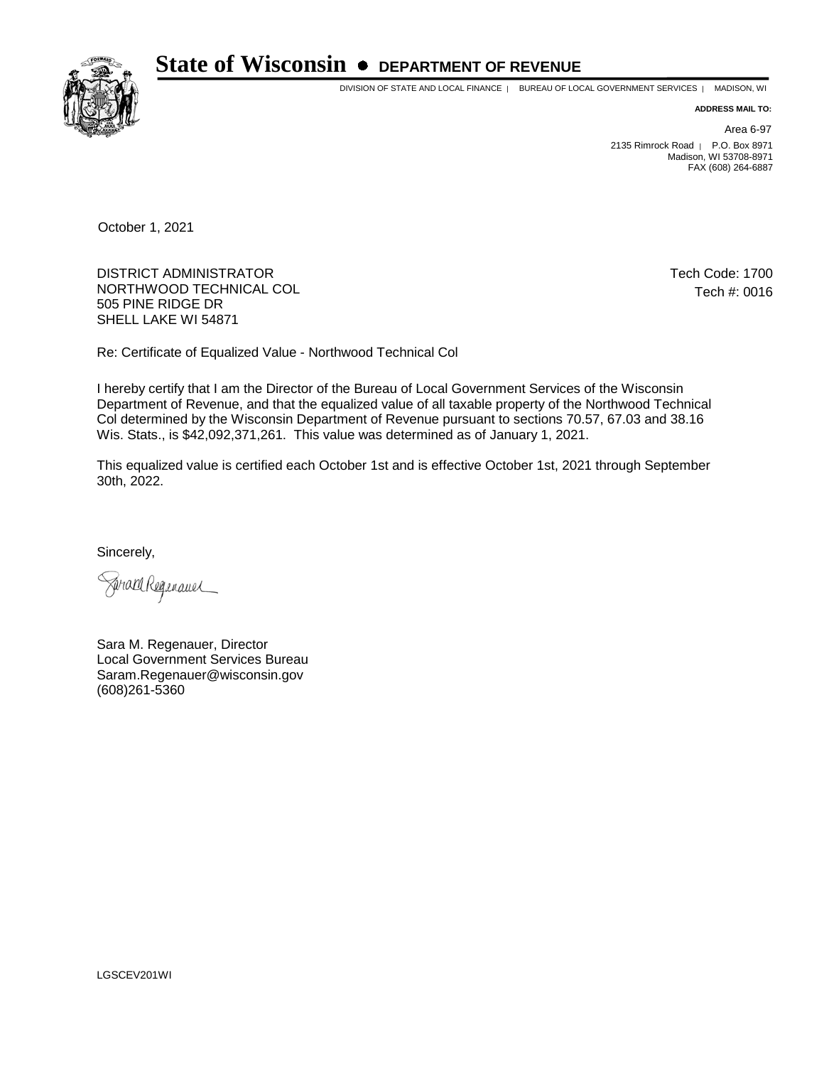

DIVISION OF STATE AND LOCAL FINANCE | BUREAU OF LOCAL GOVERNMENT SERVICES | MADISON, WI

**ADDRESS MAIL TO:**

Area 6-97

2135 Rimrock Road | P.O. Box 8971 Madison, WI 53708-8971 FAX (608) 264-6887

October 1, 2021

DISTRICT ADMINISTRATOR NORTHWOOD TECHNICAL COL 505 PINE RIDGE DR SHELL LAKE WI 54871

Tech Code: 1700 Tech #: 0016

Re: Certificate of Equalized Value - Northwood Technical Col

I hereby certify that I am the Director of the Bureau of Local Government Services of the Wisconsin Department of Revenue, and that the equalized value of all taxable property of the Northwood Technical Col determined by the Wisconsin Department of Revenue pursuant to sections 70.57, 67.03 and 38.16 Wis. Stats., is \$42,092,371,261. This value was determined as of January 1, 2021.

This equalized value is certified each October 1st and is effective October 1st, 2021 through September 30th, 2022.

Saram Regenauer

Sara M. Regenauer, Director Local Government Services Bureau Saram.Regenauer@wisconsin.gov (608)261-5360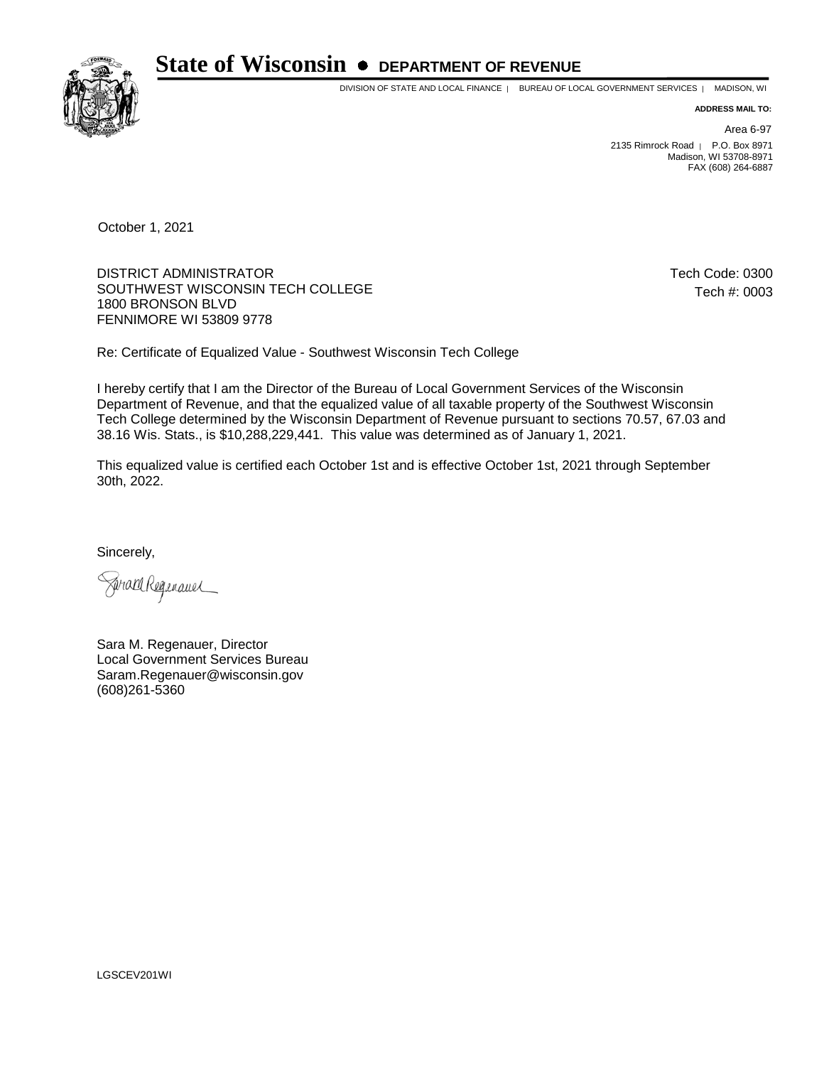

DIVISION OF STATE AND LOCAL FINANCE | BUREAU OF LOCAL GOVERNMENT SERVICES | MADISON, WI

**ADDRESS MAIL TO:**

Area 6-97

2135 Rimrock Road | P.O. Box 8971 Madison, WI 53708-8971 FAX (608) 264-6887

October 1, 2021

DISTRICT ADMINISTRATOR SOUTHWEST WISCONSIN TECH COLLEGE 1800 BRONSON BLVD FENNIMORE WI 53809 9778

Tech Code: 0300 Tech #: 0003

Re: Certificate of Equalized Value - Southwest Wisconsin Tech College

I hereby certify that I am the Director of the Bureau of Local Government Services of the Wisconsin Department of Revenue, and that the equalized value of all taxable property of the Southwest Wisconsin Tech College determined by the Wisconsin Department of Revenue pursuant to sections 70.57, 67.03 and 38.16 Wis. Stats., is \$10,288,229,441. This value was determined as of January 1, 2021.

This equalized value is certified each October 1st and is effective October 1st, 2021 through September 30th, 2022.

Serant Regenauer

Sara M. Regenauer, Director Local Government Services Bureau Saram.Regenauer@wisconsin.gov (608)261-5360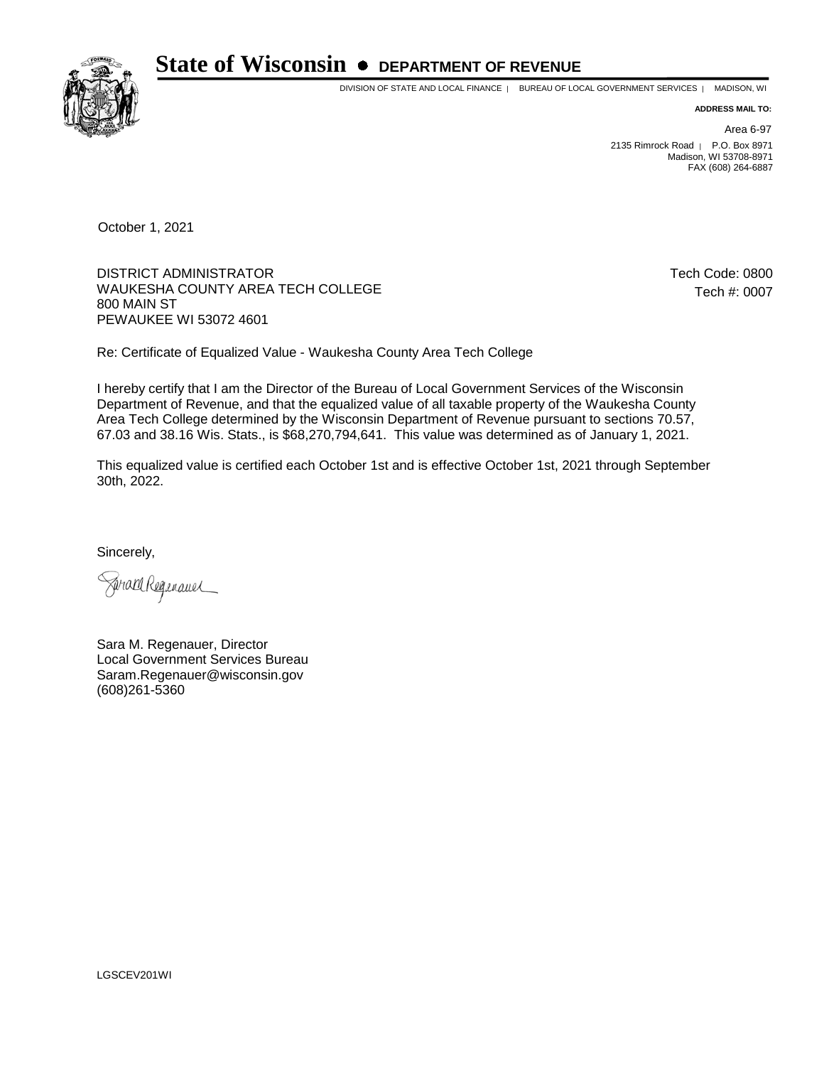

DIVISION OF STATE AND LOCAL FINANCE | BUREAU OF LOCAL GOVERNMENT SERVICES | MADISON, WI

**ADDRESS MAIL TO:**

Area 6-97

2135 Rimrock Road | P.O. Box 8971 Madison, WI 53708-8971 FAX (608) 264-6887

October 1, 2021

DISTRICT ADMINISTRATOR WAUKESHA COUNTY AREA TECH COLLEGE 800 MAIN ST PEWAUKEE WI 53072 4601

Tech Code: 0800 Tech #: 0007

Re: Certificate of Equalized Value - Waukesha County Area Tech College

I hereby certify that I am the Director of the Bureau of Local Government Services of the Wisconsin Department of Revenue, and that the equalized value of all taxable property of the Waukesha County Area Tech College determined by the Wisconsin Department of Revenue pursuant to sections 70.57, 67.03 and 38.16 Wis. Stats., is \$68,270,794,641. This value was determined as of January 1, 2021.

This equalized value is certified each October 1st and is effective October 1st, 2021 through September 30th, 2022.

Serant Regenauer

Sara M. Regenauer, Director Local Government Services Bureau Saram.Regenauer@wisconsin.gov (608)261-5360